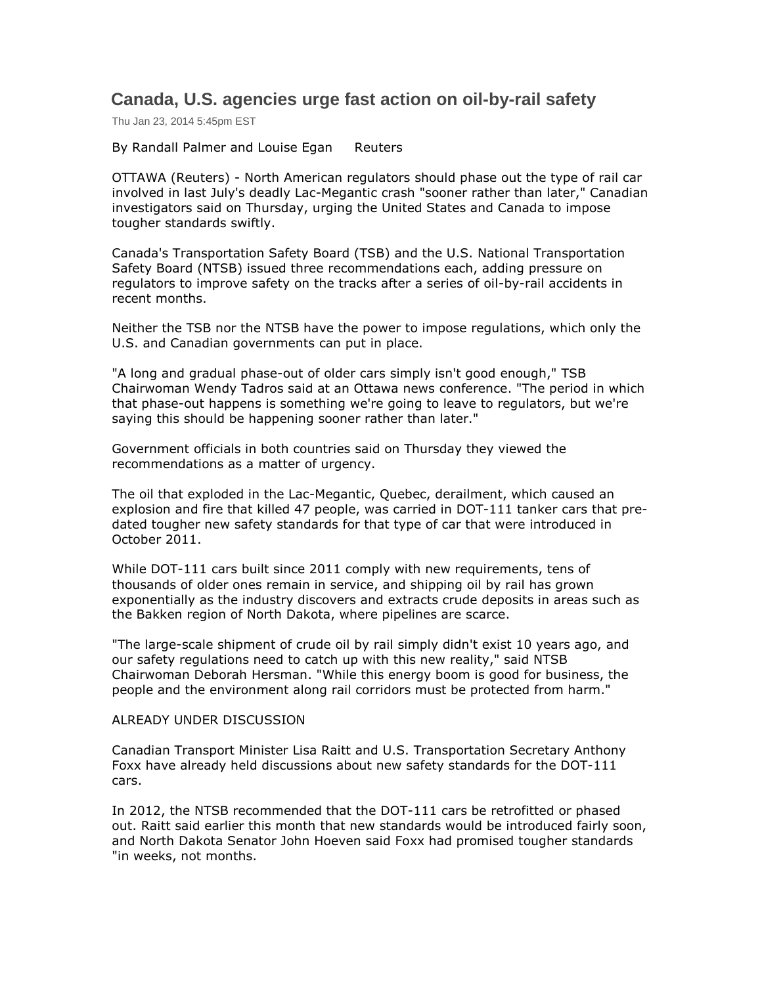## **Canada, U.S. agencies urge fast action on oil-by-rail safety**

Thu Jan 23, 2014 5:45pm EST

By Randall Palmer and Louise Egan Reuters

OTTAWA (Reuters) - North American regulators should phase out the type of rail car involved in last July's deadly Lac-Megantic crash "sooner rather than later," Canadian investigators said on Thursday, urging the United States and Canada to impose tougher standards swiftly.

Canada's Transportation Safety Board (TSB) and the U.S. National Transportation Safety Board (NTSB) issued three recommendations each, adding pressure on regulators to improve safety on the tracks after a series of oil-by-rail accidents in recent months.

Neither the TSB nor the NTSB have the power to impose regulations, which only the U.S. and Canadian governments can put in place.

"A long and gradual phase-out of older cars simply isn't good enough," TSB Chairwoman Wendy Tadros said at an Ottawa news conference. "The period in which that phase-out happens is something we're going to leave to regulators, but we're saying this should be happening sooner rather than later."

Government officials in both countries said on Thursday they viewed the recommendations as a matter of urgency.

The oil that exploded in the Lac-Megantic, Quebec, derailment, which caused an explosion and fire that killed 47 people, was carried in DOT-111 tanker cars that predated tougher new safety standards for that type of car that were introduced in October 2011.

While DOT-111 cars built since 2011 comply with new requirements, tens of thousands of older ones remain in service, and shipping oil by rail has grown exponentially as the industry discovers and extracts crude deposits in areas such as the Bakken region of North Dakota, where pipelines are scarce.

"The large-scale shipment of crude oil by rail simply didn't exist 10 years ago, and our safety regulations need to catch up with this new reality," said NTSB Chairwoman Deborah Hersman. "While this energy boom is good for business, the people and the environment along rail corridors must be protected from harm."

## ALREADY UNDER DISCUSSION

Canadian Transport Minister Lisa Raitt and U.S. Transportation Secretary Anthony Foxx have already held discussions about new safety standards for the DOT-111 cars.

In 2012, the NTSB recommended that the DOT-111 cars be retrofitted or phased out. Raitt said earlier this month that new standards would be introduced fairly soon, and North Dakota Senator John Hoeven said Foxx had promised tougher standards "in weeks, not months.